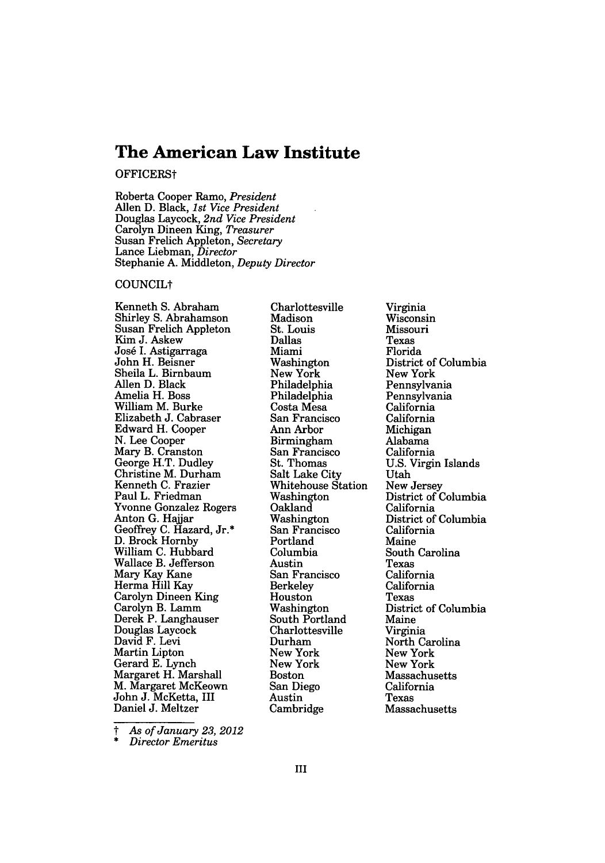# **The American Law Institute**

OFFICERSt

Roberta Cooper Ramo, *President* Allen D. Black, *1st Vice President* Douglas Laycock, *2nd Vice President* Carolyn Dineen King, *Treasurer* Susan Frelich Appleton, *Secretary* Lance Liebman, *Director* Stephanie A. Middleton, *Deputy Director*

#### COUNCILt

Kenneth **S.** Abraham Shirley S. Abrahamson Susan Frelich Appleton Kim J. Askew Jos6 I. Astigarraga John H. Beisner Sheila L. Birnbaum Allen D. Black Amelia H. Boss William M. Burke Elizabeth J. Cabraser Edward H. Cooper N. Lee Cooper Mary B. Cranston George H.T. Dudley Christine M. Durham Kenneth C. Frazier Paul L. Friedman Yvonne Gonzalez Rogers Anton G. Hajjar Geoffrey C. Hazard, Jr.\* D. Brock Hornby William C. Hubbard Wallace B. Jefferson Mary Kay Kane Herma Hill Kay Carolyn Dineen King Carolyn B. Lamm Derek P. Langhauser Douglas Laycock David F. Levi Martin Lipton Gerard E. Lynch Margaret H. Marshall M. Margaret McKeown John J. McKetta, III Daniel J. Meltzer

Charlottesville Madison St. Louis Dallas Miami Washington New York Philadelphia Philadelphia Costa Mesa San Francisco Ann Arbor Birmingham San Francisco St. Thomas Salt Lake City Whitehouse Station Washington Oakland Washington San Francisco Portland Columbia Austin San Francisco Berkeley Houston Washington South Portland Charlottesville Durham New York New York Boston San Diego Austin Cambridge

Virginia Wisconsin Missouri Texas Florida District of Columbia New York Pennsylvania Pennsylvania California California Michigan Alabama California U.S. Virgin Islands Utah New Jersey District of Columbia California District of Columbia California Maine South Carolina Texas California California Texas District of Columbia Maine Virginia North Carolina New York New York Massachusetts California Texas Massachusetts

*t As of January 23, 2012* \* *Director Emeritus*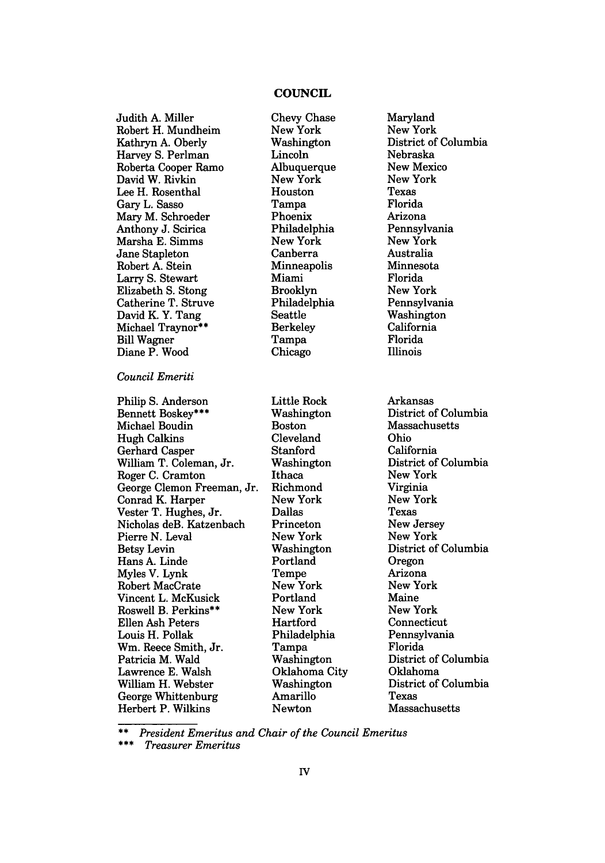## **COUNCIL**

Judith A. Miller Robert H. Mundheim Kathryn A. Oberly Harvey S. Perlman Roberta Cooper Ramo David W. Rivkin Lee H. Rosenthal Gary L. Sasso Mary M. Schroeder Anthony J. Scirica Marsha E. Simms Jane Stapleton Robert A. Stein Larry S. Stewart Elizabeth S. Stong Catherine T. Struve David K. Y. Tang Michael Traynor\*\* Bill Wagner Diane P. Wood

### *Council Emeriti*

Philip S. Anderson Bennett Boskey\*\*\* Michael Boudin Hugh Calkins Gerhard Casper William T. Coleman, Jr. Roger C. Cramton George Clemon Freeman, Jr. Conrad K. Harper Vester T. Hughes, Jr. Nicholas deB. Katzenbach Pierre N. Leval Betsy Levin Hans A. Linde Myles V. Lynk Robert MacCrate Vincent L. McKusick Roswell B. Perkins\*\* Ellen Ash Peters Louis H. Pollak Wm. Reece Smith, Jr. Patricia M. Wald Lawrence E. Walsh William H. Webster George Whittenburg Herbert P. Wilkins

Chevy Chase New York Washington Lincoln Albuquerque New York Houston Tampa Phoenix Philadelphia New York Canberra Minneapolis Miami Brooklyn Philadelphia Seattle Berkeley Tampa Chicago

Little Rock Washington Boston Cleveland Stanford Washington Ithaca Richmond New York Dallas Princeton New York Washington Portland Tempe New York Portland New York Hartford Philadelphia Tampa Washington Oklahoma City Washington Amarillo Newton

Maryland New York District of Columbia Nebraska New Mexico New York Texas Florida Arizona Pennsylvania New York Australia Minnesota Florida New York Pennsylvania Washington California Florida Illinois

Arkansas District of Columbia Massachusetts Ohio California District of Columbia New York Virginia New York Texas New Jersey New York District of Columbia Oregon Arizona New York Maine New York Connecticut Pennsylvania Florida District of Columbia Oklahoma District of Columbia Texas Massachusetts

*\*\* President Emeritus and Chair of the Council Emeritus*

*\* Treasurer Emeritus*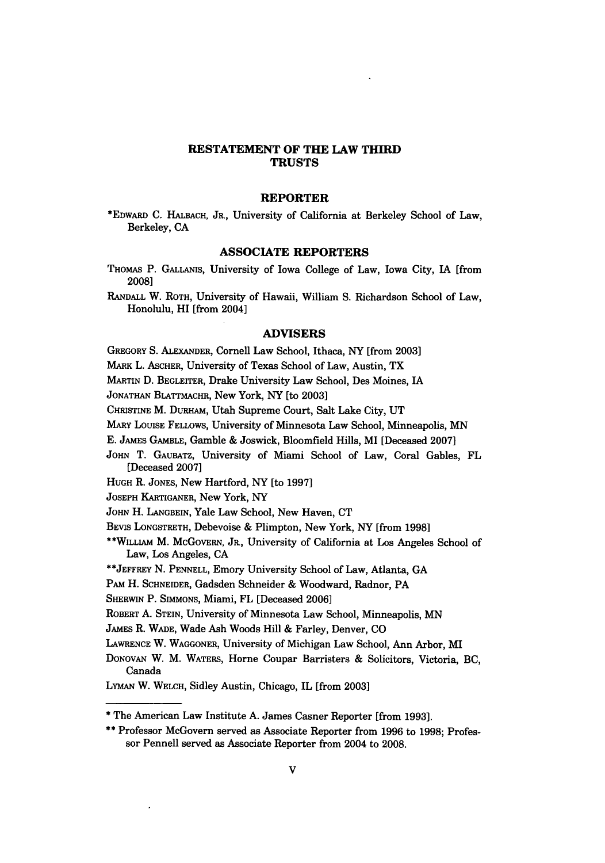## **RESTATEMENT** OF THE **LAW** THIRD **TRUSTS**

#### REPORTER

\*EDWARD **C.** HALBACH, JR., University of California at Berkeley School of Law, Berkeley, **CA**

#### **ASSOCIATE** REPORTERS

- **THOMAS** P. GALLANIS, University of Iowa College of Law, Iowa City, **IA** [from **2008]**
- RANDALL W. ROTH, University of Hawaii, William **S.** Richardson School of Law, Honolulu, HI [from 2004]

#### ADVISERS

GREGORY **S.** ALEXANDER, Cornell Law School, Ithaca, NY [from **2003]**

MARK L. ASCHER, University of Texas School of Law, Austin, TX

MARTIN **D.** BEGLEITER, Drake University Law School, Des Moines, IA

JONATHAN BLATTMACHR, New York, NY [to **2003]**

CHuSTINE M. **DURHAM,** Utah Supreme Court, Salt Lake City, **UT**

**MARY** LOUISE FELLOWS, University of Minnesota Law School, Minneapolis, **MN**

**E.** JAMES GAMBLE, Gamble **&** Joswick, Bloomfield Hills, MI [Deceased **2007]**

**JOHN** T. GAUBATZ, University of Miami School of Law, Coral Gables, FL [Deceased **2007]**

HUGH R. JONES, New Hartford, NY [to **1997]**

**JOSEPH** KARTIGANER, New York, NY

**JOHN** H. **LANGBEIN,** Yale Law School, New Haven, **CT**

BEVIS **LONGSTRETH,** Debevoise & Plimpton, New York, NY [from **1998]**

\*\*WILLIAM M. McGovERN, JR., University of California at Los Angeles School of Law, Los Angeles, **CA**

**\*\*JEFFREY N. PENNELL,** Emory University School of Law, Atlanta, **GA**

PAM H. **SCHNEIDER,** Gadsden Schneider & Woodward, Radnor, PA

SHERWIN P. **SIMMONS,** Miami, FL [Deceased **2006]**

ROBERT **A. STEIN,** University of Minnesota Law School, Minneapolis, **MN**

JAMES R. WADE, Wade Ash Woods Hill **&** Farley, Denver, **CO**

LAWRENCE W. WAGGONER, University of Michigan Law School, Ann Arbor, MI

**DONOVAN** W. M. WATERS, Home Coupar Barristers **&** Solicitors, Victoria, BC, Canada

LYMAN W. WELCH, Sidley Austin, Chicago, IL [from **2003]**

<sup>\*</sup> The American Law Institute A. James Casner Reporter [from 1993].

**<sup>\*\*</sup>** Professor McGovern served as Associate Reporter from **1996** to **1998;** Professor Pennell served as Associate Reporter from 2004 to **2008.**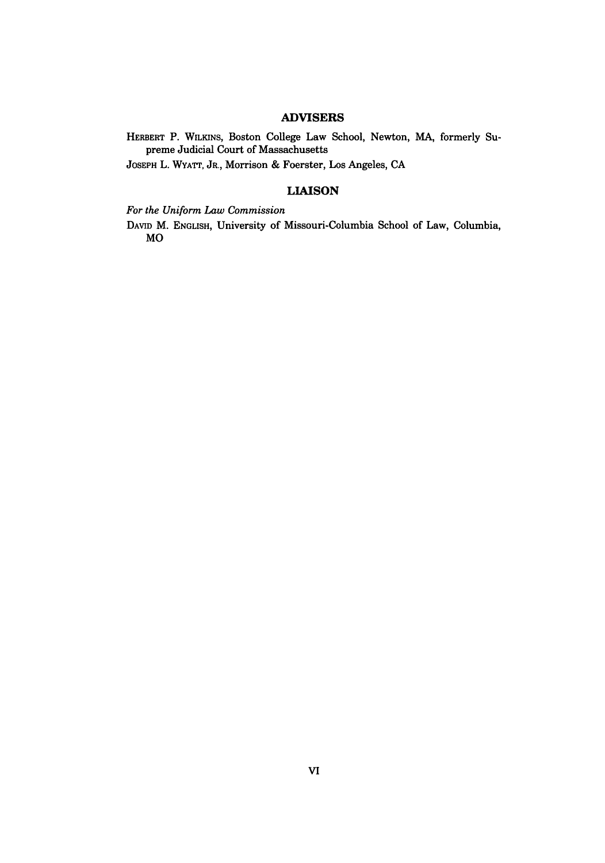## **ADVISERS**

HERBERT P. WILKINS, Boston College Law School, Newton, **MA,** formerly Supreme Judicial Court of Massachusetts

JOSEPH L. WYATT, JR., Morrison & Foerster, Los Angeles, CA

## **LIAISON**

*For the Uniform Law Commission*

DAVID M. ENGLISH, University of Missouri-Columbia School of Law, Columbia, MO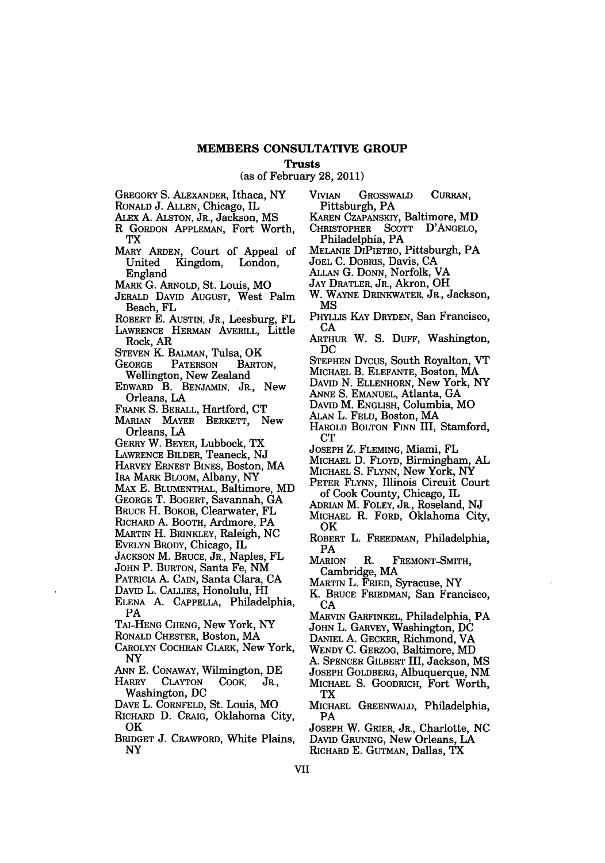#### **MEMBERS CONSULTATIVE GROUP**

#### **Trusts**

(as of February **28,** 2011)

- GREGORY **S.** ALEXANDER, Ithaca, NY
- RONALD J. ALLEN, Chicago, IL
- ALEX A. ALSTON, JR., Jackson, MS
- R GORDON APPLEMAN, Fort Worth, TX
- MARY ARDEN, Court of Appeal of Kingdom, England
- MARK **G.** ARNOLD, St. Louis, MO
- JERALD DAVID AUGUST, West Palm Beach, FL
- ROBERT **E.** AUSTIN, JR., Leesburg, FL
- LAWRENCE HERMAN AVERILL, Little Rock, AR
- **STEVEN** K. BALMAN, Tulsa, OK
- **GEORGE** PATERSON BARTON, Wellington, New Zealand
- EDWARD B. BENJAMIN, JR., New Orleans, LA
- FRANK **S.** BERALL, Hartford, **CT**
- MARIAN MAYER BERKETT, New Orleans, **LA**
- GERRY W. BEYER, Lubbock, TX
- LAWRENCE BILDER, Teaneck, NJ
- HARVEY ERNEST BINES, Boston, MA
- IRA MARK BLOOM, Albany, NY
- *MAX* **E.** BLUMENTHAL, Baltimore, MD
- GEORGE T. BOGERT, Savannah, GA
- BRUCE H. BOKOR, Clearwater, FL
- RICHARD A. BOOTH, Ardmore, PA
- MARTIN H. BRINKLEY, Raleigh, NC
- EVELYN BRODY, Chicago, IL
- JACKSON M. BRUCE, JR., Naples, FL
- JOHN P. BURTON, Santa Fe, NM PATRICIA A. CAIN, Santa Clara, CA
- DAVID L. CALLIES, Honolulu, HI
- ELENA **A. CAPPELLA,** Philadelphia, PA
- TAi-HENG CHENG, New York, NY
- RONALD CHESTER, Boston, MA
- CAROLYN COCHRAN CLARK, New York, NY
- ANN **E.** CONAWAY, Wilmington, DE
- HARRY **CLAYTON COOK,** JR., Washington, **DC**
- DAVE L. CORNFELD, St. Louis, MO
- RICHARD **D.** CRAIG, Oklahoma City, OK
- BRIDGET **J.** CRAWFORD, White Plains, NY
- VIVIAN GROSSWALD CURRAN, Pittsburgh, PA
- KAREN CZAPANSKIY, Baltimore, MD
- CHRISTOPHER SCOTT D'ANGELO, Philadelphia, PA
- MELANIE DIPIETRO, Pittsburgh, PA
- JOEL **C.** DOBRIS, Davis, CA
- **ALLAN** G. DONN, Norfolk, VA
- JAY DRATLER, JR., Akron, OH
- W. WAYNE DRINKWATER, JR., Jackson, **MS**
- PHYLLIS KAY DRYDEN, San Francisco, CA
- ARTHUR W. **S. DUFF,** Washington, DC
- STEPHEN DYCUS, South Royalton, VT
- MICHAEL B. **ELEFANTE,** Boston, MA
- DAVID N. ELLENHORN, New York, NY
- ANNE **S.** EMANUEL, Atlanta, GA
- DAVID M. ENGLISH, Columbia, MO
- ALAN L. FELD, Boston, MA
- HAROLD BOLTON FINN III, Stamford, **CT**
- JOSEPH Z. FLEMING, Miami, FL
- MICHAEL D. FLOYD, Birmingham, AL
- MICHAEL S. FLYNN, New York, NY
- PETER FLYNN, Illinois Circuit Court of Cook County, Chicago, IL
- **ADRIAN** M. FOLEY, JR., Roseland, NJ
- MICHAEL R. FORD, Oklahoma City, OK
- ROBERT L. FREEDMAN, Philadelphia, PA<br>Marion
- R. FREMONT-SMITH, Cambridge, MA
- MARTIN L. FRIED, Syracuse, NY
- K. BRUCE FRIEDMAN, San Francisco, CA
- MARVIN GARFINKEL, Philadelphia, PA
- JOHN L. GARVEY, Washington, DC
- DANIEL A. GECKER, Richmond, VA
- WENDY C. GERZOG, Baltimore, MD
- **A.** SPENCER GILBERT III, Jackson, MS
- JOSEPH GOLDBERG, Albuquerque, NM MICHAEL S. GOODRICH, Fort Worth, TX
- MICHAEL GREENWALD, Philadelphia, PA
- JOSEPH W. GRIER, JR., Charlotte, NC DAVID GRUNING, New Orleans, **LA** RICHARD E. GUTMAN, Dallas, TX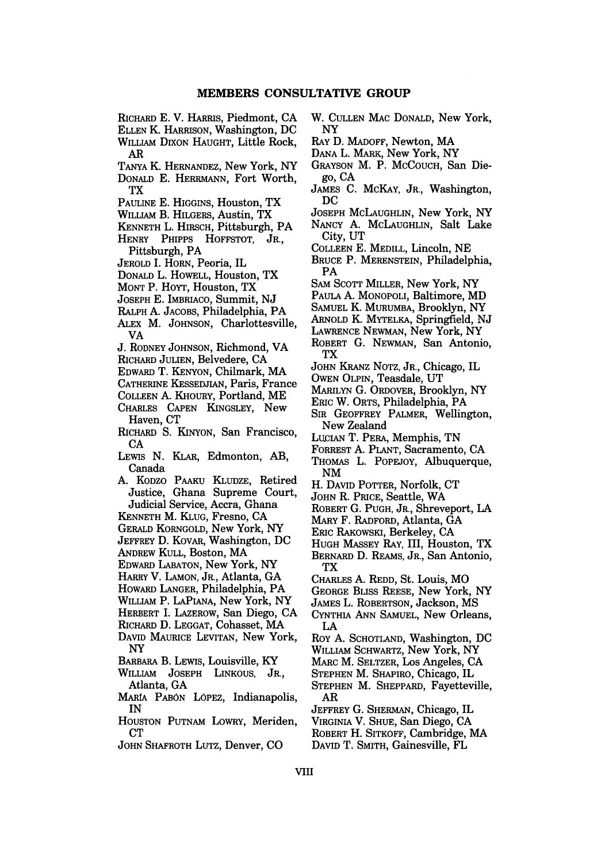- RICHARD E. V. HARRIS, Piedmont, **CA** ELLEN K. HARRISON, Washington, DC
- WILLIAM DIXON HAUGHT, Little Rock, AR
- **TANYA** K. HERNANDEZ, New York, NY
- DONALD E. HERRMANN, Fort Worth, TX
- PAULINE E. HIGGINS, Houston, TX
- WILLIAM B. HILGERS, Austin, TX
- KENNETH L. HIRSCH, Pittsburgh, PA HENRY PHIPPS HOFFSTOT, JR.,
- Pittsburgh, PA
- JEROLD I. HORN, Peoria, IL
- DONALD L. HOWELL, Houston, TX
- MONT P. HOYT, Houston, TX
- JOSEPH E. IMBRIACO, Summit, **NJ**
- RALPH A. **JACOBS,** Philadelphia, PA
- ALEX M. JOHNSON, Charlottesville, VA
- **J.** RODNEY JOHNSON, Richmond, VA
- RICHARD JULIEN, Belvedere, CA
- EDWARD T. KENYON, Chilmark, MA
- CATHERINE KESSEDJIAN, Paris, France
- COLLEEN A. KHOURY, Portland, ME
- CHARLES **CAPEN** KINGSLEY, New Haven, CT
- RICHARD S. KINYON, San Francisco, CA
- LEWIS N. KLAR, Edmonton, AB, Canada
- A. KODZO PAAKU KLUDZE, Retired Justice, Ghana Supreme Court, Judicial Service, Accra, Ghana
- KENNETH M. KLUG, Fresno, CA
- GERALD KORNGOLD, New York, NY
- JEFFREY D. KovAR, Washington, DC
- ANDREW KULL, Boston, MA
- EDWARD LABATON, New York, NY
- HARRY V. LAMON, JR., Atlanta, GA
- HOWARD LANGER, Philadelphia, PA
- WILLIAM P. LAPIANA, New York, NY
- HERBERT I. LAZEROW, San Diego, CA
- RICHARD D. LEGGAT, Cohasset, MA
- DAVID MAURICE LEVITAN, New York, NY
- BARBARA B. LEWIS, Louisville, KY
- WILLIAM JOSEPH LINKOUS, JR., Atlanta, GA
- MARIA PABON LOPEZ, Indianapolis, IN
- HOUSTON PUTNAM LOWRY, Meriden, CT
- JOHN SHAFROTH LUTZ, Denver, CO
- W. CULLEN MAC DONALD, New York, NY
- RAY D. MADOFF, Newton, MA
- DANA L. MARK, New York, NY
- GRAYSON M. P. MCCOUCH, San Diego, CA
- JAMES C. McKAY, JR., Washington, DC
- JOSEPH McLAUGHLIN, New York, NY NANCY A. McLAUGHLIN, Salt Lake
- City, UT COLLEEN **E.** MEDILL, Lincoln, NE
- BRUCE P. MERENSTEIN, Philadelphia, PA
- SAM **SCOTT** MILLER, New York, NY
- PAULA A. MONOPOLI, Baltimore, MD
- SAMUEL K. MURUMBA, Brooklyn, NY
- ARNOLD K. MYTELKA, Springfield, NJ
- LAWRENCE NEWMAN, New York, NY
- ROBERT G. NEWMAN, San Antonio, TX
- JOHN KRANZ NOTZ, JR., Chicago, IL
- OWEN OLPIN, Teasdale, UT
- MARILYN G. ORDOVER, Brooklyn, NY
- ERIC W. ORTS, Philadelphia, PA
- SIR GEOFFREY PALMER, Wellington, New Zealand
- LUCIAN T. PERA, Memphis, TN
- FORREST A. PLANT, Sacramento, CA
- THOMAS L. POPEJOY, Albuquerque, NM
- H. DAVID POTTER, Norfolk, CT
- JOHN R. PRICE, Seattle, WA
- ROBERT G. PUGH, JR., Shreveport, LA
- MARY F. RADFORD, Atlanta, GA
- Emc RAKOWSKI, Berkeley, CA
- HUGH MASSEY RAY, III, Houston, TX BERNARD D. REAMS, JR., San Antonio, TX
- CHARLES A. REDD, St. Louis, MO
- GEORGE BLISS REESE, New York, NY
- JAMES L. ROBERTSON, Jackson, MS
- CYNTHIA ANN SAMUEL, New Orleans, LA
- Roy A. SCHOTLAND, Washington, DC
- WILLIAM SCHWARTZ, New York, NY
- MARC M. SELTZER, Los Angeles, CA
- STEPHEN M. SHAPIRO, Chicago, IL
- STEPHEN M. SHEPPARD, Fayetteville, AR
- JEFFREY G. SHERMAN, Chicago, IL
- VIRGINIA V. SHUE, San Diego, CA
- ROBERT H. SITKOFF, Cambridge, MA
- DAVID T. SMITH, Gainesville, FL